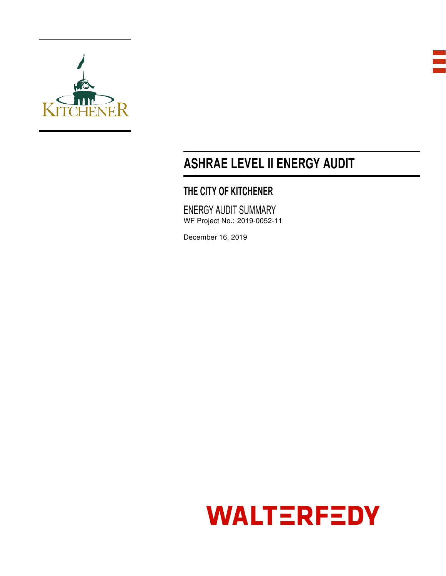



# ASHRAE LEVEL II ENERGY AUDIT

# THE CITY OF KITCHENER

ENERGY AUDIT SUMMARY WF Project No.: 2019-0052-11

December 16, 2019

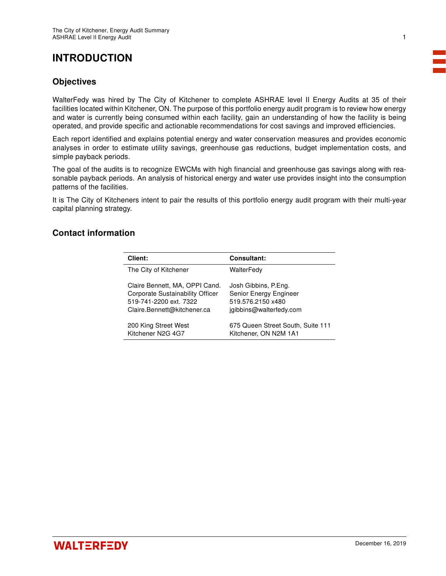# INTRODUCTION

### **Objectives**

WalterFedy was hired by The City of Kitchener to complete ASHRAE level II Energy Audits at 35 of their facilities located within Kitchener, ON. The purpose of this portfolio energy audit program is to review how energy and water is currently being consumed within each facility, gain an understanding of how the facility is being operated, and provide specific and actionable recommendations for cost savings and improved efficiencies.

Each report identified and explains potential energy and water conservation measures and provides economic analyses in order to estimate utility savings, greenhouse gas reductions, budget implementation costs, and simple payback periods.

The goal of the audits is to recognize EWCMs with high financial and greenhouse gas savings along with reasonable payback periods. An analysis of historical energy and water use provides insight into the consumption patterns of the facilities.

It is The City of Kitcheners intent to pair the results of this portfolio energy audit program with their multi-year capital planning strategy.

### Contact information

| Client:                          | <b>Consultant:</b>                |
|----------------------------------|-----------------------------------|
| The City of Kitchener            | WalterFedv                        |
| Claire Bennett, MA, OPPI Cand.   | Josh Gibbins, P.Eng.              |
| Corporate Sustainability Officer | Senior Energy Engineer            |
| 519-741-2200 ext. 7322           | 519.576.2150 x480                 |
| Claire.Bennett@kitchener.ca      | jgibbins@walterfedy.com           |
| 200 King Street West             | 675 Queen Street South, Suite 111 |
| Kitchener N2G 4G7                | Kitchener, ON N2M 1A1             |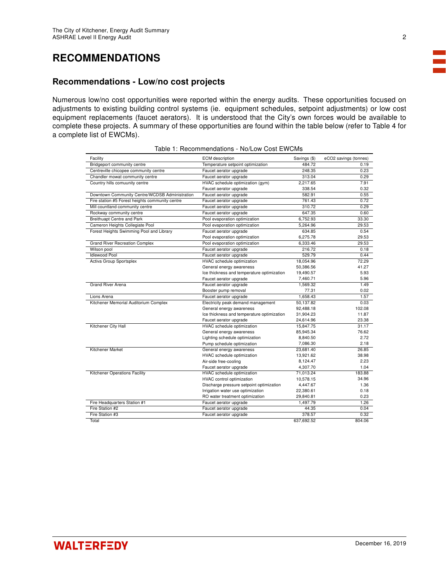## RECOMMENDATIONS

### Recommendations - Low/no cost projects

Numerous low/no cost opportunities were reported within the energy audits. These opportunities focused on adjustments to existing building control systems (ie. equipment schedules, setpoint adjustments) or low cost equipment replacements (faucet aerators). It is understood that the City's own forces would be available to complete these projects. A summary of these opportunities are found within the table below (refer to Table 4 for a complete list of EWCMs).

| Facility                                        | <b>ECM</b> description                     | Savings (\$) | eCO2 savings (tonnes) |
|-------------------------------------------------|--------------------------------------------|--------------|-----------------------|
| Bridgeport community centre                     | Temperature setpoint optimization          | 484.72       | 0.19                  |
| Centreville chicopee community centre           | Faucet aerator upgrade                     | 248.35       | 0.23                  |
| Chandler mowat community centre                 | Faucet aerator upgrade                     | 313.04       | 0.29                  |
| Country hills comuunity centre                  | HVAC schedule optimization (gym)           | 2.217.65     | 7.91                  |
|                                                 | Faucet aerator upgrade                     | 338.54       | 0.32                  |
| Downtown Community Centre/WCDSB Administration  | Faucet aerator upgrade                     | 582.91       | 0.55                  |
| Fire station #5 Forest heights community centre | Faucet aerator upgrade                     | 761.43       | 0.72                  |
| Mill countland community centre                 | Faucet aerator upgrade                     | 310.72       | 0.29                  |
| Rockway community centre                        | Faucet aerator upgrade                     | 647.35       | 0.60                  |
| <b>Breithuapt Centre and Park</b>               | Pool evaporation optimization              | 6,752.93     | 33.30                 |
| Cameron Heights Collegiate Pool                 | Pool evaporation optimization              | 5,264.96     | 29.53                 |
| Forest Heights Swimming Pool and Library        | Faucet aerator upgrade                     | 634.85       | 0.54                  |
|                                                 | Pool evaporation optimization              | 6,275.78     | 29.53                 |
| <b>Grand River Recreation Complex</b>           | Pool evaporation optimization              | 6.333.46     | 29.53                 |
| Wilson pool                                     | Faucet aerator upgrade                     | 216.72       | 0.18                  |
| <b>Idlewood Pool</b>                            | Faucet aerator upgrade                     | 529.79       | 0.44                  |
| <b>Activa Group Sportsplex</b>                  | HVAC schedule optimization                 | 18.054.96    | 72.29                 |
|                                                 | General energy awareness                   | 50,386.56    | 41.27                 |
|                                                 | Ice thickness and temperature optimization | 19,490.57    | 5.93                  |
|                                                 | Faucet aerator upgrade                     | 7,460.71     | 5.96                  |
| <b>Grand River Arena</b>                        | Faucet aerator upgrade                     | 1.569.32     | 1.49                  |
|                                                 | Booster pump removal                       | 77.31        | 0.02                  |
| Lions Arena                                     | Faucet aerator upgrade                     | 1.658.43     | 1.57                  |
| Kitchener Memorial Auditorium Complex           | Electricity peak demand management         | 50,137.82    | 0.03                  |
|                                                 | General energy awareness                   | 92.488.18    | 102.08                |
|                                                 | Ice thickness and temperature optimization | 31,904.23    | 11.87                 |
|                                                 | Faucet aerator upgrade                     | 24,614.96    | 23.38                 |
| Kitchener City Hall                             | HVAC schedule optimization                 | 15,847.75    | 31.17                 |
|                                                 | General energy awareness                   | 85,945.34    | 76.62                 |
|                                                 | Lighting schedule optimization             | 8.840.50     | 2.72                  |
|                                                 | Pump schedule optimization                 | 7,086.30     | 2.18                  |
| Kitchener Market                                | General energy awareness                   | 23,681.40    | 26.85                 |
|                                                 | HVAC schedule optimization                 | 13,921.62    | 38.98                 |
|                                                 | Air-side free-cooling                      | 8,124.47     | 2.23                  |
|                                                 | Faucet aerator upgrade                     | 4,307.70     | 1.04                  |
| <b>Kitchener Operations Facility</b>            | HVAC schedule optimization                 | 71.013.24    | 183.88                |
|                                                 | <b>HVAC</b> control optimization           | 10,578.15    | 34.96                 |
|                                                 | Discharge pressure setpoint optimization   | 4,447.67     | 1.36                  |
|                                                 | Irrigation water use optimization          | 22,380.61    | 0.18                  |
|                                                 | RO water treatment optimization            | 29,840.81    | 0.23                  |
| Fire Headquarters Station #1                    | Faucet aerator upgrade                     | 1,497.79     | 1.26                  |
| Fire Station #2                                 | Faucet aerator upgrade                     | 44.35        | 0.04                  |
| Fire Station #3                                 | Faucet aerator upgrade                     | 378.57       | 0.32                  |
| Total                                           |                                            | 637.692.52   | 804.06                |

|  | Table 1: Recommendations - No/Low Cost EWCMs |  |  |
|--|----------------------------------------------|--|--|
|--|----------------------------------------------|--|--|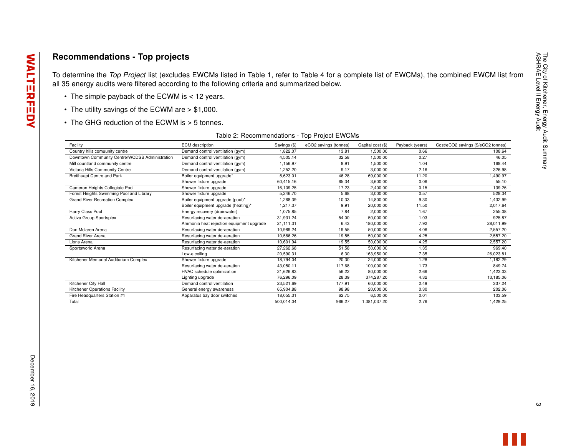### Recommendations - Top projects

To determine the Top Project list (excludes EWCMs listed in Table 1, refer to Table 4 for a complete list of EWCMs), the combined EWCM list from all 35 energy audits were filtered according to the following criteria and summarized below.

- The simple payback of the ECWM is < 12 years.
- The utility savings of the ECWM are > \$1,000.
- The GHG reduction of the ECWM is > 5 tonnes.

| Table 2: Recommendations - Top Project EWCMs |  |
|----------------------------------------------|--|
|----------------------------------------------|--|

| Facility                                       | <b>ECM</b> description                   | Savings (\$) | eCO2 savings (tonnes) | Capital cost (\$) | Payback (years) | Cost/eCO2 savings (\$/eCO2 tonnes) |
|------------------------------------------------|------------------------------------------|--------------|-----------------------|-------------------|-----------------|------------------------------------|
| Country hills comuunity centre                 | Demand control ventilation (gym)         | 1.822.07     | 13.81                 | 1.500.00          | 0.66            | 108.64                             |
| Downtown Community Centre/WCDSB Administration | Demand control ventilation (gym)         | 4.505.14     | 32.58                 | 1.500.00          | 0.27            | 46.05                              |
| Mill countland community centre                | Demand control ventilation (gym)         | 1.156.97     | 8.91                  | 1.500.00          | 1.04            | 168.44                             |
| Victoria Hills Community Centre                | Demand control ventilation (gym)         | 1,252.20     | 9.17                  | 3,000.00          | 2.16            | 326.98                             |
| Breithuapt Centre and Park                     | Boiler equipment upgrade*                | 5,623.01     | 46.28                 | 69,000.00         | 11.20           | 1,490.97                           |
|                                                | Shower fixture upgrade                   | 60.415.16    | 65.34                 | 3,600.00          | 0.06            | 55.10                              |
| Cameron Heights Collegiate Pool                | Shower fixture upgrade                   | 16.109.25    | 17.23                 | 2,400.00          | 0.15            | 139.26                             |
| Forest Heights Swimming Pool and Library       | Shower fixture upgrade                   | 5,246.70     | 5.68                  | 3,000.00          | 0.57            | 528.34                             |
| <b>Grand River Recreation Complex</b>          | Boiler equipment upgrade (pool)*         | 1,268.39     | 10.33                 | 14,800.00         | 9.30            | 1,432.99                           |
|                                                | Boiler equipment upgrade (heating)*      | 1.217.37     | 9.91                  | 20,000.00         | 11.50           | 2,017.64                           |
| Harry Class Pool                               | Energy recovery (drainwater)             | 1.075.85     | 7.84                  | 2,000.00          | 1.67            | 255.08                             |
| Activa Group Sportsplex                        | Resurfacing water de-aeration            | 31.931.24    | 54.00                 | 50.000.00         | 1.03            | 925.87                             |
|                                                | Ammonia heat rejection equipment upgrade | 21,111.31    | 6.43                  | 180,000.00        | 7.92            | 28,011.99                          |
| Don Mclaren Arena                              | Resurfacing water de-aeration            | 10.989.24    | 19.55                 | 50,000.00         | 4.06            | 2,557.20                           |
| <b>Grand River Arena</b>                       | Resurfacing water de-aeration            | 10,586.26    | 19.55                 | 50,000.00         | 4.25            | 2,557.20                           |
| Lions Arena                                    | Resurfacing water de-aeration            | 10.601.94    | 19.55                 | 50.000.00         | 4.25            | 2.557.20                           |
| Sportsworld Arena                              | Resurfacing water de-aeration            | 27,262.68    | 51.58                 | 50,000.00         | 1.35            | 969.40                             |
|                                                | Low-e ceiling                            | 20,590.31    | 6.30                  | 163,950.00        | 7.35            | 26,023.81                          |
| Kitchener Memorial Auditorium Complex          | Shower fixture upgrade                   | 18,794.04    | 20.30                 | 24.000.00         | 1.28            | 1.182.29                           |
|                                                | Resurfacing water de-aeration            | 43,050.11    | 117.68                | 100,000.00        | 1.73            | 849.74                             |
|                                                | HVAC schedule optimization               | 21.626.83    | 56.22                 | 80.000.00         | 2.66            | 1.423.03                           |
|                                                | Lighting upgrade                         | 76,296.09    | 28.39                 | 374,287.20        | 4.32            | 13,185.06                          |
| Kitchener City Hall                            | Demand control ventilation               | 23,521.69    | 177.91                | 60,000.00         | 2.49            | 337.24                             |
| Kitchener Operations Facility                  | General energy awareness                 | 65.904.88    | 98.98                 | 20,000.00         | 0.30            | 202.06                             |
| Fire Headquarters Station #1                   | Apparatus bay door switches              | 18.055.31    | 62.75                 | 6,500.00          | 0.01            | 103.59                             |
| Total                                          |                                          | 500.014.04   | 966.27                | 1.381.037.20      | 2.76            | 1,429.25                           |

**WALTERFEDY**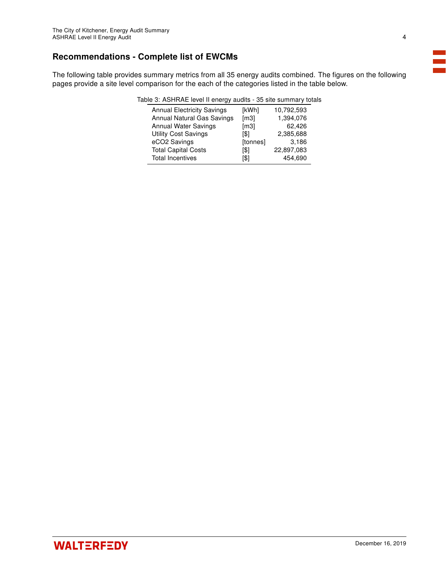### Recommendations - Complete list of EWCMs

The following table provides summary metrics from all 35 energy audits combined. The figures on the following pages provide a site level comparison for the each of the categories listed in the table below.

| Table 3: ASHRAE level II energy audits - 35 site summary totals |  |
|-----------------------------------------------------------------|--|
|-----------------------------------------------------------------|--|

| <b>Annual Electricity Savings</b> | [kWh]                | 10,792,593 |
|-----------------------------------|----------------------|------------|
| Annual Natural Gas Savings        | $\lfloor m3 \rfloor$ | 1,394,076  |
| <b>Annual Water Savings</b>       | $\lceil m3 \rceil$   | 62,426     |
| <b>Utility Cost Savings</b>       | [\$]                 | 2,385,688  |
| eCO2 Savings                      | [tonnes]             | 3,186      |
| <b>Total Capital Costs</b>        | [\$]                 | 22,897,083 |
| <b>Total Incentives</b>           | [\$]                 | 454,690    |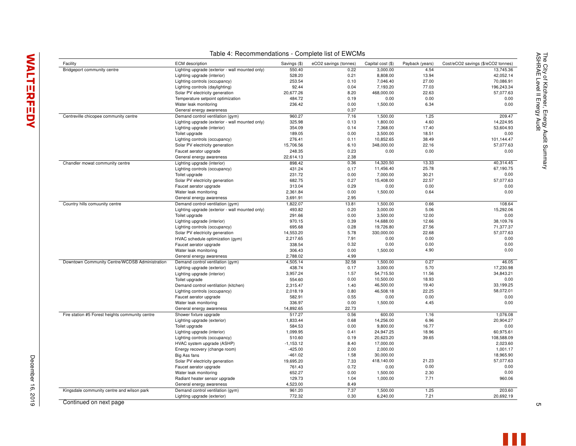| Facility                                        | <b>ECM</b> description                          | Savings (\$) | eCO2 savings (tonnes) | Capital cost (\$) | Payback (years) | Cost/eCO2 savings (\$/eCO2 tonnes) |
|-------------------------------------------------|-------------------------------------------------|--------------|-----------------------|-------------------|-----------------|------------------------------------|
| Bridgeport community centre                     | Lighting upgrade (exterior - wall mounted only) | 550.40       | 0.22                  | 3,000.00          | 4.54            | 13,745.36                          |
|                                                 | Lighting upgrade (interior)                     | 528.20       | 0.21                  | 8,808.00          | 13.94           | 42,052.14                          |
|                                                 | Lighting controls (occupancy)                   | 253.54       | 0.10                  | 7,046.40          | 27.00           | 70,086.91                          |
|                                                 | Lighting controls (daylighting)                 | 92.44        | 0.04                  | 7,193.20          | 77.03           | 196,243.34                         |
|                                                 | Solar PV electricity generation                 | 20,677.26    | 8.20                  | 468,000.00        | 22.63           | 57,077.63                          |
|                                                 | Temperature setpoint optimization               | 484.72       | 0.19                  | 0.00              | 0.00            | 0.00                               |
|                                                 | Water leak monitoring                           | 236.42       | 0.00                  | 1,500.00          | 6.34            | 0.00                               |
|                                                 | General energy awareness                        |              | 0.37                  |                   |                 |                                    |
| Centreville chicopee community centre           | Demand control ventilation (gym)                | 960.27       | 7.16                  | 1,500.00          | 1.25            | 209.47                             |
|                                                 | Lighting upgrade (exterior - wall mounted only) | 325.98       | 0.13                  | 1,800.00          | 4.60            | 14,224.95                          |
|                                                 | Lighting upgrade (interior)                     | 354.09       | 0.14                  | 7,368.00          | 17.40           | 53,604.93                          |
|                                                 |                                                 | 189.05       | 0.00                  | 3,500.00          | 18.51           | 0.00                               |
|                                                 | Toilet upgrade                                  |              |                       |                   |                 |                                    |
|                                                 | Lighting controls (occupancy)                   | 276.41       | 0.11                  | 10,852.65         | 38.49           | 101,144.47                         |
|                                                 | Solar PV electricity generation                 | 15,706.56    | 6.10                  | 348,000.00        | 22.16           | 57,077.63                          |
|                                                 | Faucet aerator upgrade                          | 248.35       | 0.23                  | 0.00              | 0.00            | 0.00                               |
|                                                 | General energy awareness                        | 22,614.13    | 2.38                  |                   |                 |                                    |
| Chandler mowat community centre                 | Lighting upgrade (interior)                     | 898.42       | 0.36                  | 14,320.50         | 13.33           | 40,314.45                          |
|                                                 | Lighting controls (occupancy)                   | 431.24       | 0.17                  | 11,456.40         | 25.78           | 67,190.75                          |
|                                                 | Toilet upgrade                                  | 231.72       | 0.00                  | 7,000.00          | 30.21           | 0.00                               |
|                                                 | Solar PV electricity generation                 | 682.75       | 0.27                  | 15,408.00         | 22.57           | 57,077.63                          |
|                                                 | Faucet aerator upgrade                          | 313.04       | 0.29                  | 0.00              | 0.00            | 0.00                               |
|                                                 | Water leak monitoring                           | 2,361.84     | 0.00                  | 1,500.00          | 0.64            | 0.00                               |
|                                                 | General energy awareness                        | 3,691.91     | 2.95                  |                   |                 |                                    |
| Country hills comuunity centre                  | Demand control ventilation (gym)                | 1,822.07     | 13.81                 | 1,500.00          | 0.66            | 108.64                             |
|                                                 | Lighting upgrade (exterior - wall mounted only) | 493.82       | 0.20                  | 3,000.00          | 5.06            | 15,292.06                          |
|                                                 |                                                 | 291.66       | 0.00                  | 3,500.00          | 12.00           |                                    |
|                                                 | Toilet upgrade                                  |              |                       |                   |                 | 0.00                               |
|                                                 | Lighting upgrade (interior)                     | 970.15       | 0.39                  | 14,688.00         | 12.66           | 38,109.76                          |
|                                                 | Lighting controls (occupancy)                   | 695.68       | 0.28                  | 19,726.80         | 27.56           | 71,377.37                          |
|                                                 | Solar PV electricity generation                 | 14,553.20    | 5.78                  | 330,000.00        | 22.68           | 57,077.63                          |
|                                                 | HVAC schedule optimization (gym)                | 2,217.65     | 7.91                  | 0.00              | 0.00            | 0.00                               |
|                                                 | Faucet aerator upgrade                          | 338.54       | 0.32                  | 0.00              | 0.00            | 0.00                               |
|                                                 | Water leak monitoring                           | 306.43       | 0.00                  | 1,500.00          | 4.90            | 0.00                               |
|                                                 | General energy awareness                        | 2,788.02     | 4.99                  |                   |                 |                                    |
| Downtown Community Centre/WCDSB Administration  | Demand control ventilation (gym)                | 4,505.14     | 32.58                 | 1,500.00          | 0.27            | 46.05                              |
|                                                 | Lighting upgrade (exterior)                     | 438.74       | 0.17                  | 3,000.00          | 5.70            | 17,230.98                          |
|                                                 | Lighting upgrade (interior)                     | 3,957.24     | 1.57                  | 54,715.50         | 11.56           | 34,843.21                          |
|                                                 | Toilet upgrade                                  | 554.60       | 0.00                  | 10,500.00         | 18.93           | 0.00                               |
|                                                 | Demand control ventilation (kitchen)            | 2,315.47     | 1.40                  | 46,500.00         | 19.40           | 33,199.25                          |
|                                                 | Lighting controls (occupancy)                   | 2,018.19     | 0.80                  | 46,508.18         | 22.25           | 58,072.01                          |
|                                                 | Faucet aerator upgrade                          | 582.91       | 0.55                  | 0.00              | 0.00            | 0.00                               |
|                                                 | Water leak monitoring                           | 336.97       | 0.00                  | 1,500.00          | 4.45            | 0.00                               |
|                                                 |                                                 | 14,892.65    | 22.73                 |                   |                 |                                    |
|                                                 | General energy awareness                        |              |                       |                   |                 |                                    |
| Fire station #5 Forest heights community centre | Shower fixture upgrade                          | 517.27       | 0.56                  | 600.00            | 1.16            | 1,076.08                           |
|                                                 | Lighting upgrade (exterior)                     | 1,833.44     | 0.68                  | 14,256.00         | 6.96            | 20,904.27                          |
|                                                 | Toilet upgrade                                  | 584.53       | 0.00                  | 9,800.00          | 16.77           | 0.00                               |
|                                                 | Lighting upgrade (interior)                     | 1,099.95     | 0.41                  | 24,947.25         | 18.96           | 60,975.61                          |
|                                                 | Lighting controls (occupancy)                   | 510.60       | 0.19                  | 20,623.20         | 39.65           | 108,588.09                         |
|                                                 | HVAC system upgrade (ASHP)                      | $-1, 153.12$ | 8.40                  | 17,000.00         |                 | 2,023.60                           |
|                                                 | Energy recovery (change room)                   | $-425.00$    | 2.00                  | 2,000.00          |                 | 1,001.17                           |
|                                                 | Big Ass fans                                    | $-461.02$    | 1.58                  | 30,000.00         |                 | 18,965.90                          |
|                                                 | Solar PV electricity generation                 | 19,695.20    | 7.33                  | 418,140.00        | 21.23           | 57,077.63                          |
|                                                 | Faucet aerator upgrade                          | 761.43       | 0.72                  | 0.00              | 0.00            | 0.00                               |
|                                                 | Water leak monitoring                           | 652.27       | 0.00                  | 1,500.00          | 2.30            | 0.00                               |
|                                                 | Radiant heater sensor upgrade                   | 129.73       | 1.04                  | 1,000.00          | 7.71            | 960.06                             |
|                                                 |                                                 |              |                       |                   |                 |                                    |
|                                                 | General energy awareness                        | 4,523.00     | 8.49                  |                   |                 |                                    |
| Kingsdale community centre and wilson park      | Demand control ventilation (gym)                | 961.20       | 7.37                  | 1,500.00          | 1.25            | 203.60                             |
|                                                 | Lighting upgrade (exterior)                     | 772.32       | 0.30                  | 6,240.00          | 7.21            | 20.692.19                          |

Table 4: Recommendations - Complete list of EWCMs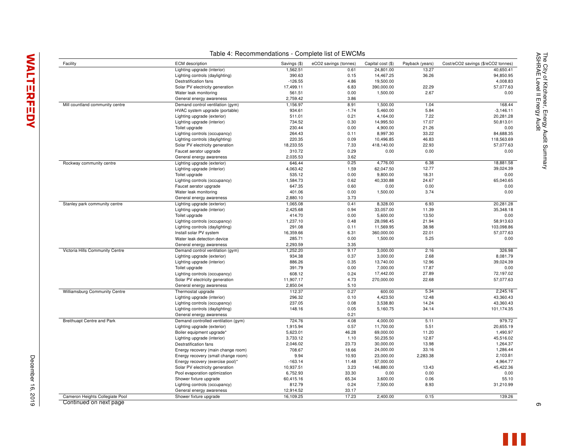|                                   | Lighting upgrade (interior)         | 1,562.51  | 0.61    | 24,801.00  | 13.27    | 40,650.41   |
|-----------------------------------|-------------------------------------|-----------|---------|------------|----------|-------------|
|                                   | Lighting controls (daylighting)     | 390.63    | 0.15    | 14,467.25  | 36.26    | 94,850.95   |
|                                   | Destratification fans               | $-126.55$ | 4.86    | 19,500.00  |          | 4,008.83    |
|                                   | Solar PV electricity generation     | 17,499.11 | 6.83    | 390,000.00 | 22.29    | 57,077.63   |
|                                   | Water leak monitoring               | 561.51    | 0.00    | 1,500.00   | 2.67     | 0.00        |
|                                   | General energy awareness            | 2,759.42  | 3.86    |            |          |             |
| Mill countland community centre   | Demand control ventilation (gym)    | 1,156.97  | 8.91    | 1,500.00   | 1.04     | 168.44      |
|                                   | HVAC system upgrade (portable)      | 934.61    | $-1.74$ | 5,460.00   | 5.84     | $-3,146.11$ |
|                                   | Lighting upgrade (exterior)         | 511.01    | 0.21    | 4,164.00   | 7.22     | 20.281.28   |
|                                   | Lighting upgrade (interior)         | 734.52    | 0.30    | 14,995.50  | 17.07    | 50,813.01   |
|                                   | Toilet upgrade                      | 230.44    | 0.00    | 4,900.00   | 21.26    | 0.00        |
|                                   | Lighting controls (occupancy)       | 264.43    | 0.11    | 8,997.30   | 33.22    | 84,688.35   |
|                                   | Lighting controls (daylighting)     | 220.35    | 0.09    | 10,496.85  | 46.83    | 118.563.69  |
|                                   | Solar PV electricity generation     | 18,233.55 | 7.33    | 418,140.00 | 22.93    | 57,077.63   |
|                                   | Faucet aerator upgrade              | 310.72    | 0.29    | 0.00       | 0.00     | 0.00        |
|                                   | General energy awareness            | 2,035.53  | 3.62    |            |          |             |
| Rockway community centre          | Lighting upgrade (exterior)         | 646.44    | 0.25    | 4,776.00   | 6.38     | 18,881.58   |
|                                   | Lighting upgrade (interior)         | 4,063.42  | 1.59    | 62,047.50  | 12.77    | 39,024.39   |
|                                   | Toilet upgrade                      | 535.12    | 0.00    | 9,800.00   | 18.31    | 0.00        |
|                                   | Lighting controls (occupancy)       | 1,584.73  | 0.62    | 40,330.88  | 24.67    | 65,040.65   |
|                                   |                                     | 647.35    | 0.60    | 0.00       | 0.00     | 0.00        |
|                                   | Faucet aerator upgrade              |           |         |            |          | 0.00        |
|                                   | Water leak monitoring               | 401.06    | 0.00    | 1,500.00   | 3.74     |             |
|                                   | General energy awareness            | 2,880.10  | 3.73    |            |          |             |
| Stanley park community centre     | Lighting upgrade (exterior)         | 1,065.08  | 0.41    | 8,328.00   | 6.93     | 20.281.28   |
|                                   | Lighting upgrade (interior)         | 2,425.68  | 0.94    | 33,057.00  | 11.39    | 35,348.18   |
|                                   | Toilet upgrade                      | 414.70    | 0.00    | 5,600.00   | 13.50    | 0.00        |
|                                   | Lighting controls (occupancy)       | 1,237.10  | 0.48    | 28,098.45  | 21.94    | 58,913.63   |
|                                   | Lighting controls (daylighting)     | 291.08    | 0.11    | 11,569.95  | 38.98    | 103,098.86  |
|                                   | Install solar PV system             | 16,359.66 | 6.31    | 360,000.00 | 22.01    | 57,077.63   |
|                                   | Water leak detection device         | 285.71    | 0.00    | 1,500.00   | 5.25     | 0.00        |
|                                   | General energy awareness            | 2.293.59  | 3.35    |            |          |             |
| Victoria Hills Community Centre   | Demand control ventilation (gym)    | 1,252.20  | 9.17    | 3,000.00   | 2.16     | 326.98      |
|                                   | Lighting upgrade (exterior)         | 934.38    | 0.37    | 3,000.00   | 2.68     | 8,081.79    |
|                                   | Lighting upgrade (interior)         | 886.26    | 0.35    | 13,740.00  | 12.96    | 39.024.39   |
|                                   | Toilet upgrade                      | 391.79    | 0.00    | 7,000.00   | 17.87    | 0.00        |
|                                   | Lighting controls (occupancy)       | 608.12    | 0.24    | 17,442.00  | 27.89    | 72,197.02   |
|                                   | Solar PV electricity generation     | 11,907.17 | 4.73    | 270,000.00 | 22.68    | 57,077.63   |
|                                   | General energy awareness            | 2,850.04  | 5.10    |            |          |             |
| Williamsburg Community Centre     | Thermostat upgrade                  | 112.37    | 0.27    | 600.00     | 5.34     | 2,245.16    |
|                                   | Lighting upgrade (interior)         | 296.32    | 0.10    | 4,423.50   | 12.48    | 43,360.43   |
|                                   | Lighting controls (occupancy)       | 237.05    | 0.08    | 3,538.80   | 14.24    | 43,360.43   |
|                                   | Lighting controls (daylighting)     | 148.16    | 0.05    | 5,160.75   | 34.14    | 101,174.35  |
|                                   | General energy awareness            |           | 0.21    |            |          |             |
| <b>Breithuapt Centre and Park</b> | Demand controlled ventilation (gym) | 724.76    | 4.08    | 4,000.00   | 5.11     | 979.72      |
|                                   | Lighting upgrade (exterior)         | 1,915.94  | 0.57    | 11,700.00  | 5.51     | 20,655.19   |
|                                   | Boiler equipment upgrade*           | 5,623.01  | 46.28   | 69,000.00  | 11.20    | 1,490.97    |
|                                   | Lighting upgrade (interior)         | 3,733.12  | 1.10    | 50,235.50  | 12.87    | 45,516.02   |
|                                   | Destratification fans               | 2,046.02  | 23.73   | 30,000.00  | 13.98    | 1,264.37    |
|                                   | Energy recovery (main change room)  | 708.67    | 18.66   | 24,000.00  | 33.16    | 1,286.44    |
|                                   | Energy recovery (small change room) | 9.94      | 10.93   | 23,000.00  | 2,283.38 | 2,103.81    |
|                                   | Energy recovery (exercise pool)*    | $-163.14$ | 11.48   | 57,000.00  |          | 4,964.77    |
|                                   |                                     | 10,937.51 | 3.23    | 146,880.00 | 13.43    | 45,422.36   |
|                                   | Solar PV electricity generation     | 6,752.93  | 33.30   |            | 0.00     |             |
|                                   | Pool evaporation optimization       |           |         | 0.00       |          | 0.00        |
|                                   | Shower fixture upgrade              | 60,415.16 | 65.34   | 3,600.00   | 0.06     | 55.10       |
|                                   | Lighting controls (occupancy)       | 812.79    | 0.24    | 7,500.00   | 8.93     | 31,210.99   |
|                                   | General energy awareness            | 12,914.52 | 33.17   |            |          |             |
| Cameron Heights Collegiate Pool   | Shower fixture upgrade              | 16,109.25 | 17.23   | 2,400.00   | 0.15     | 139.26      |

Table 4: Recommendations - Complete list of EWCMs Facility **ECM description** Savings (\$) eCO2 savings (tonnes) Capital cost (\$) Payback (years) Cost/eCO2 savings (\$/eCO2 tonnes)

Cameron Heights Collegiate Pool Continued on next page

The City of Kitchener, Energy Audit Summary<br>ASHRAE Level II Energy Audit ASHRAE Level II Energy Audit The City of Kitchener, Energy Audit Summary

December 16, 2019

December 16, 2019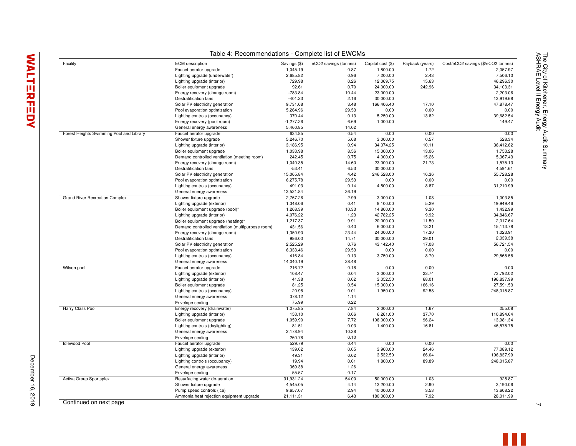| Facility                                 | <b>ECM</b> description                            | Savings (\$) | eCO2 savings (tonnes) | Capital cost (\$) | Payback (years) | Cost/eCO2 savings (\$/eCO2 tonnes) |
|------------------------------------------|---------------------------------------------------|--------------|-----------------------|-------------------|-----------------|------------------------------------|
|                                          | Faucet aerator upgrade                            | 1,045.19     | 0.87                  | 1,800.00          | 1.72            | 2,057.97                           |
|                                          | Lighting upgrade (underwater)                     | 2,685.82     | 0.96                  | 7,200.00          | 2.43            | 7,506.10                           |
|                                          | Lighting upgrade (interior)                       | 729.98       | 0.26                  | 12,069.75         | 15.63           | 46,296.30                          |
|                                          | Boiler equipment upgrade                          | 92.61        | 0.70                  | 24,000.00         | 242.96          | 34,103.31                          |
|                                          | Energy recovery (change room)                     | $-783.84$    | 10.44                 | 23,000.00         |                 | 2,203.06                           |
|                                          | Destratification fans                             | $-401.23$    | 2.16                  | 30,000.00         |                 | 13,919.68                          |
|                                          | Solar PV electricity generation                   | 9,731.68     | 3.48                  | 166,406.40        | 17.10           | 47,878.47                          |
|                                          | Pool evaporation optimization                     | 5,264.96     | 29.53                 | 0.00              | 0.00            |                                    |
|                                          | Lighting controls (occupancy)                     | 370.44       | 0.13                  | 5,250.00          | 13.82           | 39,682.54                          |
|                                          | Energy recovery (pool room)                       | $-1,277.26$  | 6.69                  | 1,000.00          |                 |                                    |
|                                          | General energy awareness                          | 5,460.85     | 14.02                 |                   |                 |                                    |
| Forest Heights Swimming Pool and Library | Faucet aerator upgrade                            | 634.85       | 0.54                  | 0.00              | 0.00            |                                    |
|                                          | Shower fixture upgrade                            | 5,246.70     | 5.68                  | 3,000.00          | 0.57            |                                    |
|                                          | Lighting upgrade (interior)                       | 3,186.95     | 0.94                  | 34,074.25         | 10.11           | 36,412.82                          |
|                                          | Boiler equipment upgrade                          | 1,033.98     | 8.56                  | 15,000.00         | 13.06           | 1,753.28                           |
|                                          | Demand controlled ventilation (meeting room)      | 242.45       | 0.75                  | 4,000.00          | 15.26           | 5,367.43                           |
|                                          |                                                   |              |                       |                   |                 |                                    |
|                                          | Energy recovery (change room)                     | 1,040.35     | 14.60                 | 23,000.00         | 21.73           | 1,575.13                           |
|                                          | <b>Destratification fans</b>                      | $-53.41$     | 6.53                  | 30,000.00         |                 | 4,591.61                           |
|                                          | Solar PV electricity generation                   | 15,065.84    | 4.42                  | 246,528.00        | 16.36           | 55,728.28                          |
|                                          | Pool evaporation optimization                     | 6,275.78     | 29.53                 | 0.00              | 0.00            |                                    |
|                                          | Lighting controls (occupancy)                     | 491.03       | 0.14                  | 4,500.00          | 8.87            | 31,210.99                          |
|                                          | General energy awareness                          | 13,521.84    | 36.19                 |                   |                 |                                    |
| <b>Grand River Recreation Complex</b>    | Shower fixture upgrade                            | 2,767.26     | 2.99                  | 3,000.00          | 1.08            | 1,003.85                           |
|                                          | Lighting upgrade (exterior)                       | 1,348.06     | 0.41                  | 8,100.00          | 5.29            | 19,949.46                          |
|                                          | Boiler equipment upgrade (pool)*                  | 1,268.39     | 10.33                 | 14,800.00         | 9.30            | 1,432.99                           |
|                                          | Lighting upgrade (interior)                       | 4,076.22     | 1.23                  | 42,782.25         | 9.92            | 34,846.67                          |
|                                          | Boiler equipment upgrade (heating)*               | 1,217.37     | 9.91                  | 20,000.00         | 11.50           | 2,017.64                           |
|                                          | Demand controlled ventilation (multipurpose room) | 431.56       | 0.40                  | 6,000.00          | 13.21           | 15,113.78                          |
|                                          | Energy recovery (change room)                     | 1,350.90     | 23.44                 | 24,000.00         | 17.30           | 1,023.91                           |
|                                          | Destratification fans                             | 986.00       | 14.71                 | 30,000.00         | 29.01           | 2,039.38                           |
|                                          | Solar PV electricity generation                   | 2,525.29     | 0.76                  | 43,142.40         | 17.08           | 56,721.54                          |
|                                          | Pool evaporation optimization                     | 6,333.46     | 29.53                 | 0.00              | 0.00            |                                    |
|                                          | Lighting controls (occupancy)                     | 416.84       | 0.13                  | 3,750.00          | 8.70            | 29,868.58                          |
|                                          | General energy awareness                          | 14,040.19    | 28.48                 |                   |                 |                                    |
| Wilson pool                              |                                                   | 216.72       | 0.18                  | 0.00              | 0.00            |                                    |
|                                          | Faucet aerator upgrade                            |              |                       |                   |                 |                                    |
|                                          | Lighting upgrade (exterior)                       | 108.47       | 0.04                  | 3,000.00          | 23.74           | 73,792.02                          |
|                                          | Lighting upgrade (interior)                       | 41.38        | 0.02                  | 3,052.50          | 68.01           | 196,837.99                         |
|                                          | Boiler equipment upgrade                          | 81.25        | 0.54                  | 15,000.00         | 166.16          | 27,591.53                          |
|                                          | Lighting controls (occupancy)                     | 20.98        | 0.01                  | 1,950.00          | 92.58           | 248,015.87                         |
|                                          | General energy awareness                          | 378.12       | 1.14                  |                   |                 |                                    |
|                                          | Envelope sealing                                  | 75.99        | 0.22                  |                   |                 |                                    |
| Harry Class Pool                         | Energy recovery (drainwater)                      | 1,075.85     | 7.84                  | 2,000.00          | 1.67            |                                    |
|                                          | Lighting upgrade (interior)                       | 153.10       | 0.06                  | 6,261.00          | 37.70           | 110,894.64                         |
|                                          | Boiler equipment upgrade                          | 1,059.90     | 7.72                  | 108,000.00        | 96.24           | 13,981.34                          |
|                                          | Lighting controls (daylighting)                   | 81.51        | 0.03                  | 1,400.00          | 16.81           | 46,575.75                          |
|                                          | General energy awareness                          | 2,178.94     | 10.38                 |                   |                 |                                    |
|                                          | Envelope sealing                                  | 260.78       | 0.10                  |                   |                 |                                    |
| <b>Idlewood Pool</b>                     | Faucet aerator upgrade                            | 529.79       | 0.44                  | 0.00              | 0.00            |                                    |
|                                          | Lighting upgrade (exterior)                       | 139.02       | 0.05                  | 3,900.00          | 24.46           | 77,089.12                          |
|                                          | Lighting upgrade (interior)                       | 49.31        | 0.02                  | 3,532.50          | 66.04           | 196,837.99                         |
|                                          | Lighting controls (occupancy)                     | 19.94        | 0.01                  | 1,800.00          | 89.89           | 248,015.87                         |
|                                          |                                                   | 369.38       | 1.26                  |                   |                 |                                    |
|                                          | General energy awareness<br>Envelope sealing      | 55.57        | 0.17                  |                   |                 |                                    |
|                                          |                                                   |              |                       |                   |                 |                                    |
| Activa Group Sportsplex                  | Resurfacing water de-aeration                     | 31,931.24    | 54.00                 | 50,000.00         | 1.03            |                                    |
|                                          | Shower fixture upgrade                            | 4,545.05     | 4.14                  | 13,200.00         | 2.90            | 3,190.06                           |
|                                          | Pump speed controls (ice)                         | 9,657.07     | 2.94                  | 40,000.00         | 3.53            | 13,608.22                          |
|                                          | Ammonia heat rejection equipment upgrade          | 21,111.31    | 6.43                  | 180,000.00        | 7.92            | 28,011.99                          |

Table 4: Recommendations - Complete list of EWCMs

# **WALTERFEDY**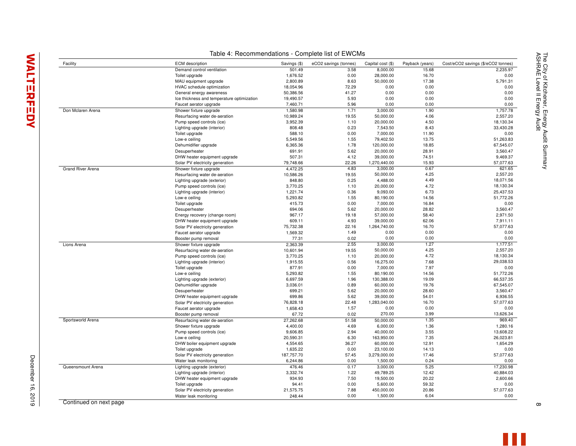December 16, 2019

December 16, 2019

| Facility                 | <b>ECM</b> description                     | Savings (\$)          | eCO2 savings (tonnes) | Capital cost (\$) | Payback (years) | Cost/eCO2 savings (\$/eCO2 tonnes) |
|--------------------------|--------------------------------------------|-----------------------|-----------------------|-------------------|-----------------|------------------------------------|
|                          | Demand control ventilation                 | 501.49                | 3.58                  | 8,000.00          | 15.68           | 2,235.97                           |
|                          | Toilet upgrade                             | 1,676.52              | 0.00                  | 28,000.00         | 16.70           | 0.00                               |
|                          | MAU equipment upgrade                      | 2,800.89              | 8.63                  | 50,000.00         | 17.38           | 5,791.31                           |
|                          | HVAC schedule optimization                 | 18,054.96             | 72.29                 | 0.00              | 0.00            | 0.00                               |
|                          | General energy awareness                   | 50,386.56             | 41.27                 | 0.00              | 0.00            | 0.00                               |
|                          | Ice thickness and temperature optimization | 19,490.57             | 5.93                  | 0.00              | 0.00            | 0.00                               |
|                          | Faucet aerator upgrade                     | 7.460.71              | 5.96                  | 0.00              | 0.00            | 0.00                               |
| Don Mclaren Arena        | Shower fixture upgrade                     | 1,580.98              | 1.71                  | 3,000.00          | 1.90            | 1,757.78                           |
|                          | Resurfacing water de-aeration              | 10,989.24             | 19.55                 | 50,000.00         | 4.06            | 2,557.20                           |
|                          | Pump speed controls (ice)                  | 3,952.39              | 1.10                  | 20,000.00         | 4.50            | 18,130.34                          |
|                          | Lighting upgrade (interior)                | 808.48                | 0.23                  | 7,543.50          | 8.43            | 33,430.28                          |
|                          | Toilet upgrade                             | 588.10                | 0.00                  | 7,000.00          | 11.90           | 0.00                               |
|                          | Low-e ceiling                              | 5,549.56              | 1.55                  | 79,402.50         | 13.75           | 51,263.83                          |
|                          | Dehumidifier upgrade                       | 6,365.36              | 1.78                  | 120,000.00        | 18.85           | 67,545.07                          |
|                          | Desuperheater                              | 691.91                | 5.62                  | 20,000.00         | 28.91           | 3,560.47                           |
|                          | DHW heater equipment upgrade               | 507.31                | 4.12                  | 39,000.00         | 74.51           | 9,469.37                           |
|                          | Solar PV electricity generation            | 79,748.66             | 22.26                 | 1,270,440.00      | 15.93           | 57,077.63                          |
| <b>Grand River Arena</b> | Shower fixture upgrade                     | 4,472.25              | 4.83                  | 3,000.00          | 0.67            | 621.65                             |
|                          | Resurfacing water de-aeration              | 10,586.26             | 19.55                 | 50,000.00         | 4.25            | 2,557.20                           |
|                          | Lighting upgrade (exterior)                | 848.80                | 0.25                  | 4,488.00          | 4.49            | 18,071.56                          |
|                          | Pump speed controls (ice)                  | 3,770.25              | 1.10                  | 20,000.00         | 4.72            | 18,130.34                          |
|                          | Lighting upgrade (interior)                | 1,221.74              | 0.36                  | 9,093.00          | 6.73            | 25,437.53                          |
|                          | Low-e ceiling                              | 5,293.82              | 1.55                  | 80,190.00         | 14.56           | 51,772.26                          |
|                          | Toilet upgrade                             | 415.73                | 0.00                  | 7,000.00          | 16.84           | 0.00                               |
|                          | Desuperheater                              | 694.06                | 5.62                  | 20,000.00         | 28.82           | 3,560.47                           |
|                          | Energy recovery (change room)              | 967.17                | 19.18                 | 57,000.00         | 58.40           | 2,971.50                           |
|                          | DHW heater equipment upgrade               | 609.11                | 4.93                  | 39,000.00         | 62.06           | 7,911.11                           |
|                          | Solar PV electricity generation            | 75,732.38             | 22.16                 | 1,264,740.00      | 16.70           | 57,077.63                          |
|                          | Faucet aerator upgrade                     | 1,569.32              | 1.49                  | 0.00              | 0.00            | 0.00                               |
|                          | Booster pump removal                       | 77.31                 | 0.02                  | 0.00              | 0.00            | 0.00                               |
| Lions Arena              | Shower fixture upgrade                     | 2,363.39              | 2.55                  | 3,000.00          | 1.27            | 1,177.51                           |
|                          |                                            | 10,601.94             | 19.55                 | 50,000.00         | 4.25            | 2,557.20                           |
|                          | Resurfacing water de-aeration              | 3,770.25              |                       | 20,000.00         | 4.72            | 18,130.34                          |
|                          | Pump speed controls (ice)                  | 1,915.55              | 1.10<br>0.56          | 16,275.00         | 7.68            | 29,038.53                          |
|                          | Lighting upgrade (interior)                | 877.91                | 0.00                  | 7,000.00          | 7.97            | 0.00                               |
|                          | Toilet upgrade<br>Low-e ceiling            | 5,293.82              | 1.55                  | 80,190.00         | 14.56           | 51,772.26                          |
|                          |                                            | 6,697.59              | 1.96                  | 130,388.00        | 19.09           | 66,537.35                          |
|                          | Lighting upgrade (exterior)                | 3,036.01              | 0.89                  | 60,000.00         | 19.76           | 67,545.07                          |
|                          | Dehumidifier upgrade<br>Desuperheater      | 699.21                | 5.62                  | 20,000.00         | 28.60           | 3,560.47                           |
|                          |                                            | 699.86                | 5.62                  | 39,000.00         | 54.01           | 6,936.55                           |
|                          | DHW heater equipment upgrade               |                       | 22.48                 | 1,283,040.00      | 16.70           | 57,077.63                          |
|                          | Solar PV electricity generation            | 76,828.18<br>1,658.43 | 1.57                  | 0.00              | 0.00            | 0.00                               |
|                          | Faucet aerator upgrade                     | 67.72                 | 0.02                  | 270.00            | 3.99            | 13,626.34                          |
| Sportsworld Arena        | Booster pump removal                       |                       |                       |                   | 1.35            | 969.40                             |
|                          | Resurfacing water de-aeration              | 27,262.68             | 51.58                 | 50,000.00         |                 |                                    |
|                          | Shower fixture upgrade                     | 4,400.00              | 4.69                  | 6,000.00          | 1.36            | 1,280.16                           |
|                          | Pump speed controls (ice)                  | 9,606.85              | 2.94                  | 40,000.00         | 3.55            | 13,608.22                          |
|                          | Low-e ceiling                              | 20,590.31             | 6.30                  | 163,950.00        | 7.35            | 26,023.81                          |
|                          | DHW boiler equipment upgrade               | 4,554.65              | 36.27                 | 60,000.00         | 12.91           | 1,654.29                           |
|                          | Toilet upgrade                             | 1,635.22              | 0.00                  | 23,100.00         | 14.13           | 0.00                               |
|                          | Solar PV electricity generation            | 187,757.70            | 57.45                 | 3,279,000.00      | 17.46           | 57,077.63                          |
|                          | Water leak monitoring                      | 6,244.86              | 0.00                  | 1,500.00          | 0.24            | 0.00                               |
| Queensmount Arena        | Lighting upgrade (exterior)                | 476.46                | 0.17                  | 3,000.00          | 5.25            | 17,230.98                          |
|                          | Lighting upgrade (interior)                | 3,332.74              | 1.22                  | 49,789.25         | 12.42           | 40,884.03                          |
|                          | DHW heater equipment upgrade               | 934.93                | 7.50                  | 19,500.00         | 20.22           | 2,600.66                           |
|                          | Toilet upgrade                             | 94.41                 | 0.00                  | 5,600.00          | 59.32           | 0.00                               |
|                          | Solar PV electricity generation            | 21,575.75             | 7.88                  | 450,000.00        | 20.86           | 57,077.63                          |
|                          | Water leak monitoring                      | 248.44                | 0.00                  | 1,500.00          | 6.04            | 0.00                               |

Table 4: Recommendations - Complete list of EWCMs

Continued on next page

 $\infty$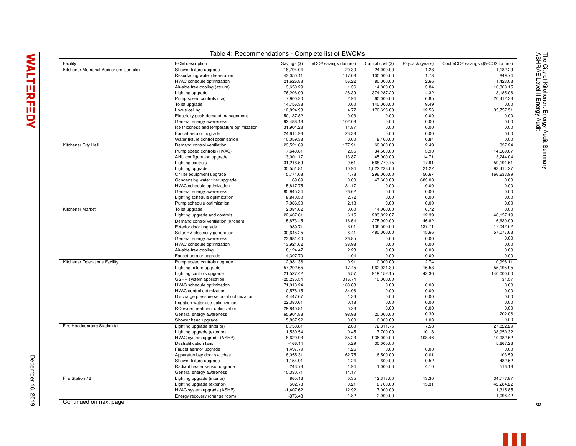| Facility                              | <b>ECM</b> description                                      | Savings (\$) | eCO2 savings (tonnes) | Capital cost (\$) | Payback (years) | Cost/eCO2 savings (\$/eCO2 tonnes) |
|---------------------------------------|-------------------------------------------------------------|--------------|-----------------------|-------------------|-----------------|------------------------------------|
| Kitchener Memorial Auditorium Complex | Shower fixture upgrade                                      | 18.794.04    | 20.30                 | 24.000.00         | 1.28            | 1.182.29                           |
|                                       | Resurfacing water de-aeration                               | 43,050.11    | 117.68                | 100,000.00        | 1.73            | 849.74                             |
|                                       | HVAC schedule optimization                                  | 21,626.83    | 56.22                 | 80,000.00         | 2.66            | 1.423.03                           |
|                                       | Air-side free-cooling (atrium)                              | 3,650.29     | 1.36                  | 14,000.00         | 3.84            | 10,308.15                          |
|                                       | Lighting upgrade                                            | 76,296.09    | 28.39                 | 374,287.20        | 4.32            | 13,185.06                          |
|                                       | Pump speed controls (ice)                                   | 7,900.20     | 2.94                  | 60,000.00         | 6.85            | 20,412.33                          |
|                                       | Toilet upgrade                                              | 14,756.38    | 0.00                  | 140,000.00        | 9.49            | 0.00                               |
|                                       | Low-e ceiling                                               | 12,824.93    | 4.77                  | 170,625.00        | 12.56           | 35,757.51                          |
|                                       | Electricity peak demand management                          | 50,137.82    | 0.03                  | 0.00              | 0.00            | 0.00                               |
|                                       | General energy awareness                                    | 92,488.18    | 102.08                | 0.00              | 0.00            | 0.00                               |
|                                       | Ice thickness and temperature optimization                  | 31,904.23    | 11.87                 | 0.00              | 0.00            | 0.00                               |
|                                       | Faucet aerator upgrade                                      | 24,614.96    | 23.38                 | 0.00              | 0.00            | 0.00                               |
|                                       | Water fixture control optimization                          | 10,059.38    | 0.00                  | 8,400.00          | 0.84            | 0.00                               |
| Kitchener City Hall                   | Demand control ventilation                                  | 23,521.69    | 177.91                | 60,000.00         | 2.49            | 337.24                             |
|                                       | Pump speed controls (HVAC)                                  | 7,640.61     | 2.35                  | 34,500.00         | 3.90            | 14,669.67                          |
|                                       | AHU configuration upgrade                                   | 3,001.17     | 13.87                 | 45,000.00         | 14.71           | 3,244.04                           |
|                                       | Lighting controls                                           | 31,218.59    | 9.61                  | 568,779.75        | 17.91           | 59,191.61                          |
|                                       | Lighting upgrade                                            | 35,551.81    | 10.94                 | 1,022,223.00      | 21.22           | 93,414.27                          |
|                                       | Chiller equipment upgrade                                   | 5,771.08     | 1.78                  | 296,000.00        | 50.67           | 166,633.99                         |
|                                       | Condensing water filter upgrade                             | 69.69        | 0.00                  | 47,600.00         | 683.00          | 0.00                               |
|                                       | HVAC schedule optimization                                  | 15.847.75    | 31.17                 | 0.00              | 0.00            | 0.00                               |
|                                       | General energy awareness                                    | 85,945.34    | 76.62                 | 0.00              | 0.00            | 0.00                               |
|                                       | Lighting schedule optimization                              | 8,840.50     | 2.72                  | 0.00              | 0.00            | 0.00                               |
|                                       | Pump schedule optimization                                  | 7,086.30     | 2.18                  | 0.00              | 0.00            | 0.00                               |
| Kitchener Market                      | Toilet upgrade                                              | 2,084.62     | 0.00                  | 14,000.00         | 6.72            | 0.00                               |
|                                       | Lighting upgrade and controls                               | 22,407.61    | 6.15                  | 283,822.67        | 12.39           | 46,157.19                          |
|                                       | Demand control ventilation (kitchen)                        | 5,873.45     | 16.54                 | 275,000.00        | 46.82           | 16,630.99                          |
|                                       | Exterior door upgrade                                       | 989.71       | 8.01                  | 136,500.00        | 137.71          | 17,042.62                          |
|                                       | Solar PV electricity generation                             | 30,645.25    | 8.41                  | 480,000.00        | 15.66           | 57,077.63                          |
|                                       | General energy awareness                                    | 23,681.40    | 26.85                 | 0.00              | 0.00            | 0.00                               |
|                                       | HVAC schedule optimization                                  | 13,921.62    | 38.98                 | 0.00              | 0.00            | 0.00                               |
|                                       | Air-side free-cooling                                       | 8,124.47     | 2.23                  | 0.00              | 0.00            | 0.00                               |
|                                       | Faucet aerator upgrade                                      | 4,307.70     | 1.04                  | 0.00              | 0.00            | 0.00                               |
| Kitchener Operations Facility         | Pump speed controls upgrade                                 | 2,981.36     | 0.91                  | 10,000.00         | 2.74            | 10.998.11                          |
|                                       | Lighting fixture upgrade                                    | 57,202.65    | 17.45                 | 962,921.30        | 16.53           | 55,195.95                          |
|                                       | Lighting controls upgrade                                   | 21,527.42    | 6.57                  | 919,152.15        | 42.36           | 140,000.00                         |
|                                       | GSHP system application                                     | $-25,235.54$ | 316.74                | 10,000.00         |                 | 31.57                              |
|                                       | HVAC schedule optimization                                  | 71,013.24    | 183.88                | 0.00              | 0.00            | 0.00                               |
|                                       | HVAC control optimization                                   | 10,578.15    | 34.96                 | 0.00              | 0.00            | 0.00                               |
|                                       | Discharge pressure setpoint optimization                    | 4,447.67     | 1.36                  | 0.00              | 0.00            | 0.00                               |
|                                       | Irrigation water use optimization                           | 22,380.61    | 0.18                  | 0.00              | 0.00            | 0.00                               |
|                                       | RO water treatment optimization                             | 29,840.81    | 0.23                  | 0.00              | 0.00            | 0.00                               |
|                                       | General energy awareness                                    | 65,904.88    | 98.98                 | 20,000.00         | 0.30            | 202.06                             |
|                                       | Shower head upgrade                                         | 5,837.92     | 0.00                  | 6,000.00          | 1.03            | 0.00                               |
| Fire Headquarters Station #1          | Lighting upgrade (interior)                                 | 8,753.81     | 2.60                  | 72,311.75         | 7.58            | 27,822.29                          |
|                                       | Lighting upgrade (exterior)                                 | 1,530.54     | 0.45                  | 17,700.00         | 10.18           | 38.950.32                          |
|                                       | HVAC system upgrade (ASHP)                                  | 8,629.93     | 85.23                 | 936,000.00        | 108.46          | 10,982.52                          |
|                                       | Destratification fans                                       | $-166.14$    | 5.29                  | 30,000.00         |                 | 5,667.26                           |
|                                       | Faucet aerator upgrade                                      | 1,497.79     | 1.26                  | 0.00              | 0.00            | 0.00                               |
|                                       | Apparatus bay door switches                                 | 18,055.31    | 62.75                 | 6,500.00          | 0.01            | 103.59                             |
|                                       | Shower fixture upgrade                                      | 1,154.91     | 1.24                  | 600.00            | 0.52            | 482.62                             |
|                                       | Radiant heater sensor upgrade                               | 243.73       | 1.94                  | 1,000.00          | 4.10            | 516.18                             |
|                                       | General energy awareness                                    | 10,330.71    | 14.17                 |                   |                 |                                    |
| Fire Station #2                       | Lighting upgrade (interior)                                 | 865.16       | 0.35                  | 12,313.00         | 13.30           | 34,777.87                          |
|                                       |                                                             | 502.78       | 0.21                  | 8,700.00          | 15.31           | 42,284.22                          |
|                                       | Lighting upgrade (exterior)                                 | $-1,407.62$  | 12.92                 | 17,000.00         |                 | 1,315.85                           |
|                                       | HVAC system upgrade (ASHP)<br>Energy recovery (change room) | $-376.43$    | 1.82                  | 2,000.00          |                 | 1,098.42                           |
|                                       |                                                             |              |                       |                   |                 |                                    |

Table 4: Recommendations - Complete list of EWCMs

Continued on next page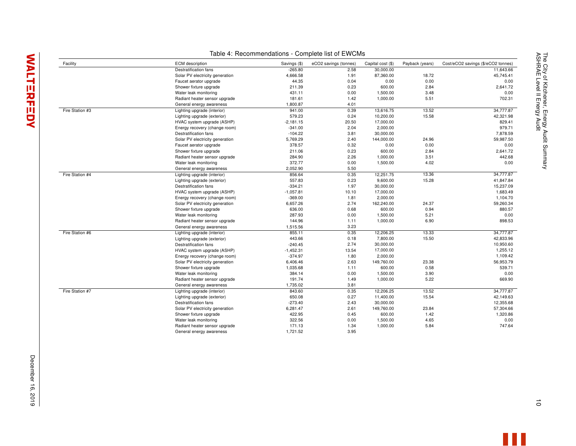| Facility        | <b>ECM</b> description          | Savings (\$) | eCO2 savings (tonnes) | Capital cost (\$) | Payback (years) | Cost/eCO2 savings (\$/eCO2 tonnes) |
|-----------------|---------------------------------|--------------|-----------------------|-------------------|-----------------|------------------------------------|
|                 | Destratification fans           | $-265.80$    | 2.58                  | 30,000.00         |                 | 11.643.66                          |
|                 | Solar PV electricity generation | 4,666.58     | 1.91                  | 87,360.00         | 18.72           | 45,745.41                          |
|                 | Faucet aerator upgrade          | 44.35        | 0.04                  | 0.00              | 0.00            | 0.00                               |
|                 | Shower fixture upgrade          | 211.39       | 0.23                  | 600.00            | 2.84            | 2,641.72                           |
|                 | Water leak monitoring           | 431.11       | 0.00                  | 1,500.00          | 3.48            | 0.00                               |
|                 | Radiant heater sensor upgrade   | 181.61       | 1.42                  | 1,000.00          | 5.51            | 702.31                             |
|                 | General energy awareness        | 1,800.87     | 4.01                  |                   |                 |                                    |
| Fire Station #3 | Lighting upgrade (interior)     | 941.00       | 0.39                  | 13,616.75         | 13.52           | 34,777.87                          |
|                 | Lighting upgrade (exterior)     | 579.23       | 0.24                  | 10,200.00         | 15.58           | 42,321.98                          |
|                 | HVAC system upgrade (ASHP)      | $-2,181.15$  | 20.50                 | 17,000.00         |                 | 829.41                             |
|                 | Energy recovery (change room)   | $-341.00$    | 2.04                  | 2,000.00          |                 | 979.71                             |
|                 | Destratification fans           | $-104.22$    | 3.81                  | 30,000.00         |                 | 7,878.59                           |
|                 | Solar PV electricity generation | 5,769.29     | 2.40                  | 144,000.00        | 24.96           | 59,987.50                          |
|                 | Faucet aerator upgrade          | 378.57       | 0.32                  | 0.00              | 0.00            | 0.00                               |
|                 | Shower fixture upgrade          | 211.06       | 0.23                  | 600.00            | 2.84            | 2.641.72                           |
|                 | Radiant heater sensor upgrade   | 284.90       | 2.26                  | 1,000.00          | 3.51            | 442.68                             |
|                 | Water leak monitoring           | 372.77       | 0.00                  | 1,500.00          | 4.02            | 0.00                               |
|                 | General energy awareness        | 2,052.90     | 5.50                  |                   |                 |                                    |
| Fire Station #4 | Lighting upgrade (interior)     | 856.64       | 0.35                  | 12,251.75         | 13.36           | 34,777.87                          |
|                 | Lighting upgrade (exterior)     | 557.83       | 0.23                  | 9,600.00          | 15.28           | 41,847.84                          |
|                 | Destratification fans           | $-334.21$    | 1.97                  | 30,000.00         |                 | 15,237.09                          |
|                 | HVAC system upgrade (ASHP)      | $-1,057.81$  | 10.10                 | 17,000.00         |                 | 1,683.49                           |
|                 | Energy recovery (change room)   | $-369.00$    | 1.81                  | 2,000.00          |                 | 1,104.70                           |
|                 | Solar PV electricity generation | 6,657.26     | 2.74                  | 162,240.00        | 24.37           | 59,260.34                          |
|                 | Shower fixture upgrade          | 636.00       | 0.68                  | 600.00            | 0.94            | 880.57                             |
|                 | Water leak monitoring           | 287.93       | 0.00                  | 1,500.00          | 5.21            | 0.00                               |
|                 | Radiant heater sensor upgrade   | 144.96       | 1.11                  | 1,000.00          | 6.90            | 898.53                             |
|                 | General energy awareness        | 1,515.56     | 3.23                  |                   |                 |                                    |
| Fire Station #6 | Lighting upgrade (interior)     | 855.11       | 0.35                  | 12,206.25         | 13.33           | 34,777.87                          |
|                 | Lighting upgrade (exterior)     | 443.66       | 0.18                  | 7,800.00          | 15.50           | 42,833.96                          |
|                 | Destratification fans           | $-240.45$    | 2.74                  | 30,000.00         |                 | 10,950.60                          |
|                 | HVAC system upgrade (ASHP)      | $-1,452.31$  | 13.54                 | 17,000.00         |                 | 1,255.12                           |
|                 | Energy recovery (change room)   | $-374.97$    | 1.80                  | 2,000.00          |                 | 1,109.42                           |
|                 | Solar PV electricity generation | 6,406.46     | 2.63                  | 149,760.00        | 23.38           | 56,953.79                          |
|                 | Shower fixture upgrade          | 1,035.68     | 1.11                  | 600.00            | 0.58            | 539.71                             |
|                 | Water leak monitoring           | 384.14       | 0.00                  | 1,500.00          | 3.90            | 0.00                               |
|                 | Radiant heater sensor upgrade   | 191.74       | 1.49                  | 1,000.00          | 5.22            | 669.90                             |
|                 | General energy awareness        | 1,735.02     | 3.81                  |                   |                 |                                    |
| Fire Station #7 | Lighting upgrade (interior)     | 843.60       | 0.35                  | 12,206.25         | 13.52           | 34,777.87                          |
|                 | Lighting upgrade (exterior)     | 650.08       | 0.27                  | 11,400.00         | 15.54           | 42.149.63                          |
|                 | Destratification fans           | $-273.40$    | 2.43                  | 30,000.00         |                 | 12,355.68                          |
|                 | Solar PV electricity generation | 6,281.47     | 2.61                  | 149,760.00        | 23.84           | 57,304.66                          |
|                 | Shower fixture upgrade          | 422.95       | 0.45                  | 600.00            | 1.42            | 1,320.86                           |
|                 | Water leak monitoring           | 322.56       | 0.00                  | 1,500.00          | 4.65            | 0.00                               |
|                 | Radiant heater sensor upgrade   | 171.13       | 1.34                  | 1,000.00          | 5.84            | 747.64                             |
|                 | General energy awareness        | 1,721.52     | 3.95                  |                   |                 |                                    |

Table 4: Recommendations - Complete list of EWCMs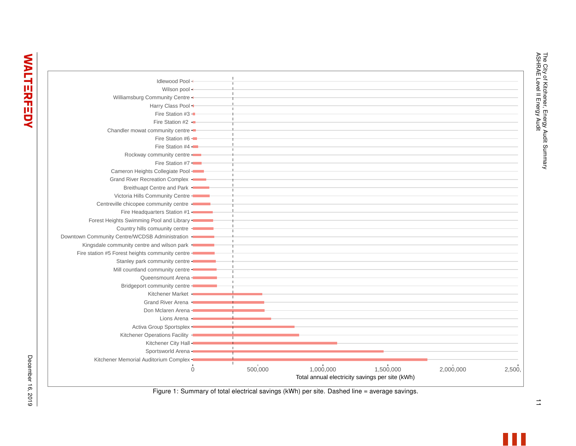|                                                   | $\Omega$ | 500,000 | 1,000,000 | 1,500,000<br>Total annual electricity savings per site (kWh) | 2,000,000 | 2,500, |
|---------------------------------------------------|----------|---------|-----------|--------------------------------------------------------------|-----------|--------|
| Kitchener Memorial Auditorium Complex -           |          | Τ.      |           |                                                              |           |        |
| Sportsworld Arena -                               |          |         |           |                                                              |           |        |
| Kitchener City Hall -                             |          |         |           |                                                              |           |        |
| Kitchener Operations Facility -                   |          |         |           |                                                              |           |        |
| Activa Group Sportsplex -                         |          |         |           |                                                              |           |        |
| Lions Arena -                                     |          |         |           |                                                              |           |        |
| Don Mclaren Arena -                               |          |         |           |                                                              |           |        |
| Grand River Arena -                               |          |         |           |                                                              |           |        |
| Kitchener Market +                                |          |         |           |                                                              |           |        |
| Bridgeport community centre -                     |          |         |           |                                                              |           |        |
| Queensmount Arena -                               |          |         |           |                                                              |           |        |
| Mill countland community centre -                 |          |         |           |                                                              |           |        |
| Stanley park community centre -                   |          |         |           |                                                              |           |        |
| Fire station #5 Forest heights community centre - |          |         |           |                                                              |           |        |
| Kingsdale community centre and wilson park -      |          |         |           |                                                              |           |        |
| Downtown Community Centre/WCDSB Administration -  |          |         |           |                                                              |           |        |
| Country hills comuunity centre -                  |          |         |           |                                                              |           |        |
| Forest Heights Swimming Pool and Library -        |          |         |           |                                                              |           |        |
| Fire Headquarters Station #1 -                    |          |         |           |                                                              |           |        |
| Centreville chicopee community centre -           |          |         |           |                                                              |           |        |
| Victoria Hills Community Centre -                 |          |         |           |                                                              |           |        |
| Breithuapt Centre and Park -                      |          |         |           |                                                              |           |        |
| Grand River Recreation Complex -                  |          |         |           |                                                              |           |        |
| Cameron Heights Collegiate Pool -                 |          |         |           |                                                              |           |        |
| Fire Station #7 -                                 |          |         |           |                                                              |           |        |
| Rockway community centre -                        |          |         |           |                                                              |           |        |
| Fire Station #4                                   |          |         |           |                                                              |           |        |
| Fire Station #6 -                                 |          |         |           |                                                              |           |        |
| Chandler mowat community centre -                 |          |         |           |                                                              |           |        |
| Fire Station #2 -                                 |          |         |           |                                                              |           |        |
| Fire Station #3 -                                 |          |         |           |                                                              |           |        |
| Harry Class Pool +                                |          |         |           |                                                              |           |        |
| Williamsburg Community Centre -                   |          |         |           |                                                              |           |        |
| Wilson pool +                                     |          |         |           |                                                              |           |        |
| Idlewood Pool+                                    |          |         |           |                                                              |           |        |

 $\vec{\Xi}$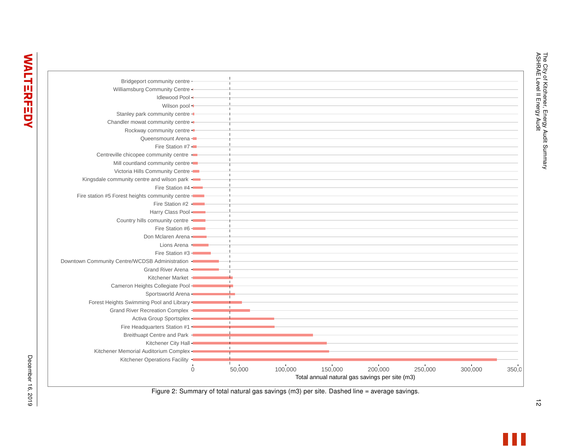| Kitchener Memorial Auditorium Complex -<br>Kitchener Operations Facility | $\Omega$ | п.<br>50,000 | 100,000 | 150,000 | 200,000<br>Total annual natural gas savings per site (m3) | 250,000 | 300,000 | 350.0 |
|--------------------------------------------------------------------------|----------|--------------|---------|---------|-----------------------------------------------------------|---------|---------|-------|
| Kitchener City Hall -                                                    |          |              |         |         |                                                           |         |         |       |
| Breithuapt Centre and Park -                                             |          |              |         |         |                                                           |         |         |       |
| Fire Headquarters Station #1 -                                           |          |              |         |         |                                                           |         |         |       |
| Activa Group Sportsplex -                                                |          |              |         |         |                                                           |         |         |       |
| Grand River Recreation Complex -                                         |          |              |         |         |                                                           |         |         |       |
| Forest Heights Swimming Pool and Library -                               |          |              |         |         |                                                           |         |         |       |
| Sportsworld Arena -                                                      |          |              |         |         |                                                           |         |         |       |
| Cameron Heights Collegiate Pool -                                        |          |              |         |         |                                                           |         |         |       |
| Kitchener Market -                                                       |          |              |         |         |                                                           |         |         |       |
| Grand River Arena -                                                      |          |              |         |         |                                                           |         |         |       |
| Downtown Community Centre/WCDSB Administration -                         |          |              |         |         |                                                           |         |         |       |
| Fire Station #3 -                                                        |          |              |         |         |                                                           |         |         |       |
| Lions Arena -                                                            |          |              |         |         |                                                           |         |         |       |
| Don Mclaren Arena -                                                      |          |              |         |         |                                                           |         |         |       |
| Fire Station #6 -                                                        |          |              |         |         |                                                           |         |         |       |
| Country hills comuunity centre                                           |          |              |         |         |                                                           |         |         |       |
| Harry Class Pool -                                                       |          |              |         |         |                                                           |         |         |       |
| Fire Station #2 -                                                        |          |              |         |         |                                                           |         |         |       |
| Fire station #5 Forest heights community centre -                        |          |              |         |         |                                                           |         |         |       |
| Fire Station #4 -                                                        |          |              |         |         |                                                           |         |         |       |
| Kingsdale community centre and wilson park -                             |          |              |         |         |                                                           |         |         |       |
| Victoria Hills Community Centre -                                        |          |              |         |         |                                                           |         |         |       |
| Mill countland community centre -                                        |          |              |         |         |                                                           |         |         |       |
| Centreville chicopee community centre                                    |          |              |         |         |                                                           |         |         |       |
| Fire Station #7 -                                                        |          |              |         |         |                                                           |         |         |       |
| Queensmount Arena -                                                      |          |              |         |         |                                                           |         |         |       |
| Rockway community centre -                                               |          |              |         |         |                                                           |         |         |       |
| Chandler mowat community centre -                                        |          |              |         |         |                                                           |         |         |       |
| Stanley park community centre -                                          |          |              |         |         |                                                           |         |         |       |
| Wilson pool +                                                            |          |              |         |         |                                                           |         |         |       |
| Idlewood Pool +                                                          |          |              |         |         |                                                           |         |         |       |
| Williamsburg Community Centre -                                          |          |              |         |         |                                                           |         |         |       |
|                                                                          |          |              |         |         |                                                           |         |         |       |

The City of Kitchener, Energy Audit Summary

The City of Kitchener, Energy Audit Summary<br>ASHRAE Level II Energy Audit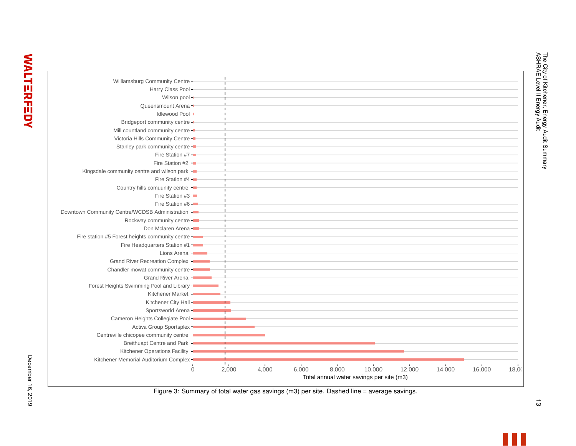| Williamsburg Community Centre -                   |          |              |       |       |       |                                                    |        |        |        |       |
|---------------------------------------------------|----------|--------------|-------|-------|-------|----------------------------------------------------|--------|--------|--------|-------|
|                                                   |          |              |       |       |       |                                                    |        |        |        |       |
| Harry Class Pool +                                |          |              |       |       |       |                                                    |        |        |        |       |
| Wilson pool +                                     |          |              |       |       |       |                                                    |        |        |        |       |
| Queensmount Arena -                               |          |              |       |       |       |                                                    |        |        |        |       |
| Idlewood Pool -                                   |          |              |       |       |       |                                                    |        |        |        |       |
| Bridgeport community centre -                     |          |              |       |       |       |                                                    |        |        |        |       |
| Mill countland community centre -                 |          |              |       |       |       |                                                    |        |        |        |       |
| Victoria Hills Community Centre -                 |          |              |       |       |       |                                                    |        |        |        |       |
| Stanley park community centre -                   |          |              |       |       |       |                                                    |        |        |        |       |
| Fire Station #7 -                                 |          |              |       |       |       |                                                    |        |        |        |       |
| Fire Station #2 $\blacksquare$                    |          |              |       |       |       |                                                    |        |        |        |       |
| Kingsdale community centre and wilson park -      |          |              |       |       |       |                                                    |        |        |        |       |
| Fire Station #4 -                                 |          |              |       |       |       |                                                    |        |        |        |       |
| Country hills comuunity centre                    |          |              |       |       |       |                                                    |        |        |        |       |
| Fire Station #3 -                                 |          |              |       |       |       |                                                    |        |        |        |       |
| Fire Station #6 -                                 |          |              |       |       |       |                                                    |        |        |        |       |
| Downtown Community Centre/WCDSB Administration -  |          |              |       |       |       |                                                    |        |        |        |       |
| Rockway community centre -                        |          |              |       |       |       |                                                    |        |        |        |       |
| Don Mclaren Arena -                               |          |              |       |       |       |                                                    |        |        |        |       |
| Fire station #5 Forest heights community centre - |          |              |       |       |       |                                                    |        |        |        |       |
| Fire Headquarters Station #1                      |          |              |       |       |       |                                                    |        |        |        |       |
| Lions Arena -                                     |          |              |       |       |       |                                                    |        |        |        |       |
| Grand River Recreation Complex                    |          |              |       |       |       |                                                    |        |        |        |       |
| Chandler mowat community centre -                 |          |              |       |       |       |                                                    |        |        |        |       |
| Grand River Arena -                               |          |              |       |       |       |                                                    |        |        |        |       |
| Forest Heights Swimming Pool and Library -        |          |              |       |       |       |                                                    |        |        |        |       |
| Kitchener Market +                                |          |              |       |       |       |                                                    |        |        |        |       |
|                                                   |          |              |       |       |       |                                                    |        |        |        |       |
| Kitchener City Hall-                              |          |              |       |       |       |                                                    |        |        |        |       |
| Sportsworld Arena -                               |          |              |       |       |       |                                                    |        |        |        |       |
| Cameron Heights Collegiate Pool -                 |          |              |       |       |       |                                                    |        |        |        |       |
| Activa Group Sportsplex -                         |          |              |       |       |       |                                                    |        |        |        |       |
| Centreville chicopee community centre             |          |              |       |       |       |                                                    |        |        |        |       |
| Breithuapt Centre and Park -                      |          | $\mathbf{L}$ |       |       |       |                                                    |        |        |        |       |
| Kitchener Operations Facility -                   |          |              |       |       |       |                                                    |        |        |        |       |
| Kitchener Memorial Auditorium Complex -           |          | л,           |       |       |       |                                                    |        |        |        |       |
|                                                   | $\Omega$ | 2,000        | 4,000 | 6,000 | 8,000 | 10,000<br>Total annual water savings per site (m3) | 12,000 | 14,000 | 16,000 | 18,00 |

Figure 3: Summary of total water gas savings (m3) per site. Dashed line = average savings.

 $\vec{\omega}$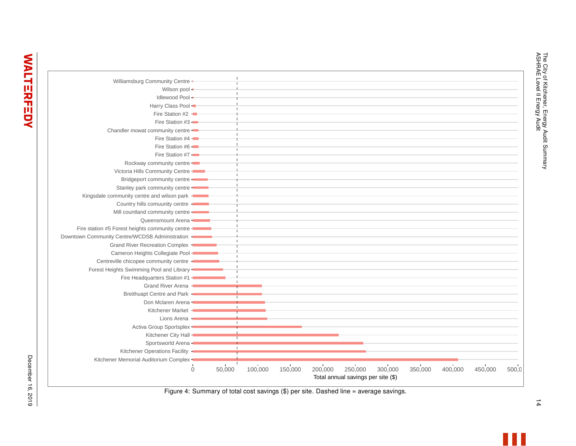| Williamsburg Community Centre +                   |          |        |         |         |         |                                               |         |         |         |         |       |
|---------------------------------------------------|----------|--------|---------|---------|---------|-----------------------------------------------|---------|---------|---------|---------|-------|
| Wilson pool +                                     |          |        |         |         |         |                                               |         |         |         |         |       |
| Idlewood Pool +                                   |          |        |         |         |         |                                               |         |         |         |         |       |
| Harry Class Pool -                                |          |        |         |         |         |                                               |         |         |         |         |       |
| Fire Station #2 -                                 |          |        |         |         |         |                                               |         |         |         |         |       |
| Fire Station #3                                   |          |        |         |         |         |                                               |         |         |         |         |       |
|                                                   |          |        |         |         |         |                                               |         |         |         |         |       |
| Chandler mowat community centre -                 |          |        |         |         |         |                                               |         |         |         |         |       |
| Fire Station #4 -                                 |          |        |         |         |         |                                               |         |         |         |         |       |
| Fire Station #6 -                                 |          |        |         |         |         |                                               |         |         |         |         |       |
| Fire Station #7 -                                 |          |        |         |         |         |                                               |         |         |         |         |       |
| Rockway community centre -                        |          |        |         |         |         |                                               |         |         |         |         |       |
| Victoria Hills Community Centre -                 |          |        |         |         |         |                                               |         |         |         |         |       |
| Bridgeport community centre -                     |          |        |         |         |         |                                               |         |         |         |         |       |
| Stanley park community centre -                   |          |        |         |         |         |                                               |         |         |         |         |       |
| Kingsdale community centre and wilson park -      |          |        |         |         |         |                                               |         |         |         |         |       |
| Country hills comuunity centre -                  |          |        |         |         |         |                                               |         |         |         |         |       |
| Mill countland community centre -                 |          |        |         |         |         |                                               |         |         |         |         |       |
| Queensmount Arena -                               |          |        |         |         |         |                                               |         |         |         |         |       |
| Fire station #5 Forest heights community centre - |          |        |         |         |         |                                               |         |         |         |         |       |
| Downtown Community Centre/WCDSB Administration -  |          |        |         |         |         |                                               |         |         |         |         |       |
| Grand River Recreation Complex -                  |          |        |         |         |         |                                               |         |         |         |         |       |
| Cameron Heights Collegiate Pool -                 |          |        |         |         |         |                                               |         |         |         |         |       |
| Centreville chicopee community centre -           |          |        |         |         |         |                                               |         |         |         |         |       |
| Forest Heights Swimming Pool and Library -        |          |        |         |         |         |                                               |         |         |         |         |       |
| Fire Headquarters Station #1 -                    |          |        |         |         |         |                                               |         |         |         |         |       |
| Grand River Arena -                               |          |        |         |         |         |                                               |         |         |         |         |       |
| Breithuapt Centre and Park -                      |          |        |         |         |         |                                               |         |         |         |         |       |
| Don Mclaren Arena -                               |          |        |         |         |         |                                               |         |         |         |         |       |
| Kitchener Market -                                |          |        |         |         |         |                                               |         |         |         |         |       |
| Lions Arena -                                     |          |        |         |         |         |                                               |         |         |         |         |       |
| Activa Group Sportsplex -                         |          |        |         |         |         |                                               |         |         |         |         |       |
| Kitchener City Hall -                             |          |        |         |         |         |                                               |         |         |         |         |       |
| Sportsworld Arena -                               |          |        |         |         |         |                                               |         |         |         |         |       |
| Kitchener Operations Facility                     |          |        |         |         |         |                                               |         |         |         |         |       |
| Kitchener Memorial Auditorium Complex -           |          |        |         |         |         |                                               |         |         |         |         |       |
|                                                   | $\Omega$ | 50,000 | 100,000 | 150,000 | 200,000 | 250,000<br>Total annual savings per site (\$) | 300,000 | 350,000 | 400,000 | 450,000 | 500,0 |

Figure 4: Summary of total cost savings (\$) per site. Dashed line = average savings.

The City of Kitchener, Energy Audit Summary<br>ASHRAE Level II Energy Audit 14 ASHRAE Level II Energy Audit The City of Kitchener, Energy Audit Summary

 $\frac{1}{4}$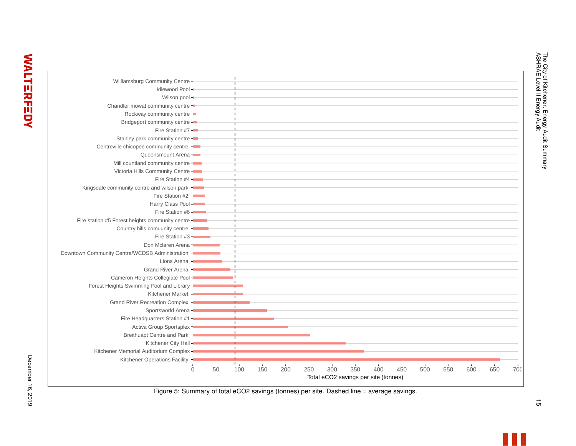| Williamsburg Community Centre +                   |          |    |     |              |     |     |                                      |     |     |     |     |     |     |     |     |
|---------------------------------------------------|----------|----|-----|--------------|-----|-----|--------------------------------------|-----|-----|-----|-----|-----|-----|-----|-----|
| Idlewood Pool -                                   |          |    |     |              |     |     |                                      |     |     |     |     |     |     |     |     |
| Wilson pool -                                     |          |    |     |              |     |     |                                      |     |     |     |     |     |     |     |     |
| Chandler mowat community centre -                 |          |    |     |              |     |     |                                      |     |     |     |     |     |     |     |     |
| Rockway community centre -                        |          |    |     |              |     |     |                                      |     |     |     |     |     |     |     |     |
| Bridgeport community centre -                     |          |    |     |              |     |     |                                      |     |     |     |     |     |     |     |     |
| Fire Station #7 -                                 |          |    |     |              |     |     |                                      |     |     |     |     |     |     |     |     |
| Stanley park community centre -                   |          |    |     |              |     |     |                                      |     |     |     |     |     |     |     |     |
| Centreville chicopee community centre -           |          |    |     |              |     |     |                                      |     |     |     |     |     |     |     |     |
| Queensmount Arena -                               |          |    |     |              |     |     |                                      |     |     |     |     |     |     |     |     |
| Mill countland community centre -                 |          |    |     |              |     |     |                                      |     |     |     |     |     |     |     |     |
| Victoria Hills Community Centre -                 |          |    |     |              |     |     |                                      |     |     |     |     |     |     |     |     |
| Fire Station #4 -                                 |          |    |     |              |     |     |                                      |     |     |     |     |     |     |     |     |
| Kingsdale community centre and wilson park        |          |    |     |              |     |     |                                      |     |     |     |     |     |     |     |     |
| Fire Station #2 -                                 |          |    |     |              |     |     |                                      |     |     |     |     |     |     |     |     |
| Harry Class Pool -                                |          |    |     |              |     |     |                                      |     |     |     |     |     |     |     |     |
| Fire Station #6 -                                 |          |    |     |              |     |     |                                      |     |     |     |     |     |     |     |     |
| Fire station #5 Forest heights community centre - |          |    |     |              |     |     |                                      |     |     |     |     |     |     |     |     |
| Country hills comuunity centre -                  |          |    |     |              |     |     |                                      |     |     |     |     |     |     |     |     |
| Fire Station #3 -                                 |          |    |     |              |     |     |                                      |     |     |     |     |     |     |     |     |
| Don Mclaren Arena -                               |          |    |     |              |     |     |                                      |     |     |     |     |     |     |     |     |
| Downtown Community Centre/WCDSB Administration -  |          |    |     |              |     |     |                                      |     |     |     |     |     |     |     |     |
| Lions Arena -                                     |          |    |     |              |     |     |                                      |     |     |     |     |     |     |     |     |
| Grand River Arena -                               |          |    |     |              |     |     |                                      |     |     |     |     |     |     |     |     |
| Cameron Heights Collegiate Pool -                 |          |    |     |              |     |     |                                      |     |     |     |     |     |     |     |     |
| Forest Heights Swimming Pool and Library -        |          |    |     |              |     |     |                                      |     |     |     |     |     |     |     |     |
| Kitchener Market -                                |          |    |     |              |     |     |                                      |     |     |     |     |     |     |     |     |
| Grand River Recreation Complex -                  |          |    |     |              |     |     |                                      |     |     |     |     |     |     |     |     |
| Sportsworld Arena -                               |          |    |     |              |     |     |                                      |     |     |     |     |     |     |     |     |
| Fire Headquarters Station #1 -                    |          |    |     |              |     |     |                                      |     |     |     |     |     |     |     |     |
| Activa Group Sportsplex -                         |          |    |     |              |     |     |                                      |     |     |     |     |     |     |     |     |
| Breithuapt Centre and Park                        |          |    |     |              |     |     |                                      |     |     |     |     |     |     |     |     |
| Kitchener City Hall -                             |          |    |     |              |     |     |                                      |     |     |     |     |     |     |     |     |
| Kitchener Memorial Auditorium Complex -           |          |    |     |              |     |     |                                      |     |     |     |     |     |     |     |     |
| Kitchener Operations Facility -                   |          |    |     |              |     |     |                                      |     |     |     |     |     |     |     |     |
|                                                   |          |    | т,  | $\mathbf{L}$ |     |     |                                      |     |     |     |     |     | 600 |     |     |
|                                                   | $\Omega$ | 50 | 100 | 150          | 200 | 250 | 300                                  | 350 | 400 | 450 | 500 | 550 |     | 650 | 700 |
|                                                   |          |    |     |              |     |     | Total eCO2 savings per site (tonnes) |     |     |     |     |     |     |     |     |
|                                                   |          |    |     |              |     |     |                                      |     |     |     |     |     |     |     |     |

December 16, 2019

December 16, 2019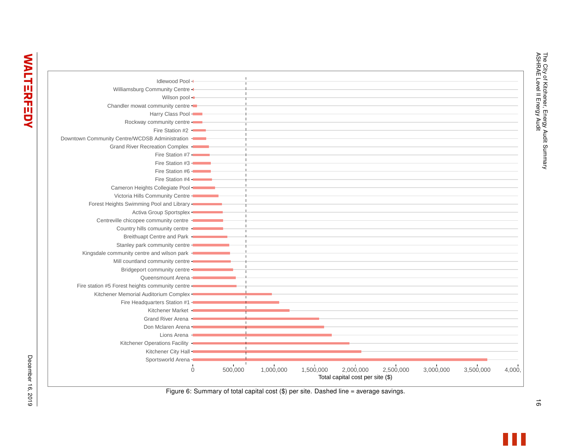|                                                   | $\Omega$ | 500,000        | 1,000,000 | 1,500,000 | 2,000,000<br>Total capital cost per site (\$) | 2,500,000 | 3,000,000 | 3,500,000 | 4,000, |
|---------------------------------------------------|----------|----------------|-----------|-----------|-----------------------------------------------|-----------|-----------|-----------|--------|
| Sportsworld Arena -                               |          | $\mathbf{I}$   |           |           |                                               |           |           |           |        |
| Kitchener City Hall -                             |          |                |           |           |                                               |           |           |           |        |
| Kitchener Operations Facility -                   |          |                |           |           |                                               |           |           |           |        |
| Lions Arena -                                     |          |                |           |           |                                               |           |           |           |        |
| Don Mclaren Arena -                               |          | $\blacksquare$ |           |           |                                               |           |           |           |        |
| Grand River Arena -                               |          |                |           |           |                                               |           |           |           |        |
| Kitchener Market -                                |          | $\blacksquare$ |           |           |                                               |           |           |           |        |
| Fire Headquarters Station #1 -                    |          |                |           |           |                                               |           |           |           |        |
| Kitchener Memorial Auditorium Complex -           |          |                |           |           |                                               |           |           |           |        |
| Fire station #5 Forest heights community centre - |          |                |           |           |                                               |           |           |           |        |
| Queensmount Arena -                               |          |                |           |           |                                               |           |           |           |        |
| Bridgeport community centre -                     |          |                |           |           |                                               |           |           |           |        |
| Mill countland community centre -                 |          |                |           |           |                                               |           |           |           |        |
| Kingsdale community centre and wilson park -      |          |                |           |           |                                               |           |           |           |        |
| Stanley park community centre -                   |          |                |           |           |                                               |           |           |           |        |
| Breithuapt Centre and Park -                      |          |                |           |           |                                               |           |           |           |        |
| Country hills comuunity centre -                  |          |                |           |           |                                               |           |           |           |        |
| Centreville chicopee community centre -           |          |                |           |           |                                               |           |           |           |        |
| Activa Group Sportsplex -                         |          |                |           |           |                                               |           |           |           |        |
| Forest Heights Swimming Pool and Library -        |          |                |           |           |                                               |           |           |           |        |
| Victoria Hills Community Centre -                 |          |                |           |           |                                               |           |           |           |        |
| Cameron Heights Collegiate Pool -                 |          |                |           |           |                                               |           |           |           |        |
| Fire Station #4 -                                 |          |                |           |           |                                               |           |           |           |        |
| Fire Station #6 -                                 |          |                |           |           |                                               |           |           |           |        |
| Fire Station #3 -                                 |          |                |           |           |                                               |           |           |           |        |
| Fire Station #7 -                                 |          |                |           |           |                                               |           |           |           |        |
| Grand River Recreation Complex -                  |          |                |           |           |                                               |           |           |           |        |
| Downtown Community Centre/WCDSB Administration -  |          |                |           |           |                                               |           |           |           |        |
| Fire Station #2 -                                 |          |                |           |           |                                               |           |           |           |        |
| Rockway community centre -                        |          |                |           |           |                                               |           |           |           |        |
| Harry Class Pool -                                |          |                |           |           |                                               |           |           |           |        |
| Chandler mowat community centre -                 |          |                |           |           |                                               |           |           |           |        |
| Wilson pool -                                     |          |                |           |           |                                               |           |           |           |        |
| Williamsburg Community Centre -                   |          |                |           |           |                                               |           |           |           |        |
| Idlewood Pool +                                   |          |                |           |           |                                               |           |           |           |        |

 $\vec{\circ}$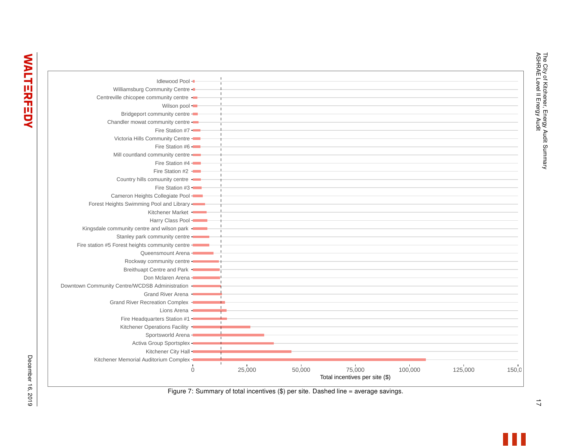

The City of Kitchener, Energy Audit Summary

The City of Kitchener, Energy Audit Summary<br>ASHRAE Level II Energy Audit